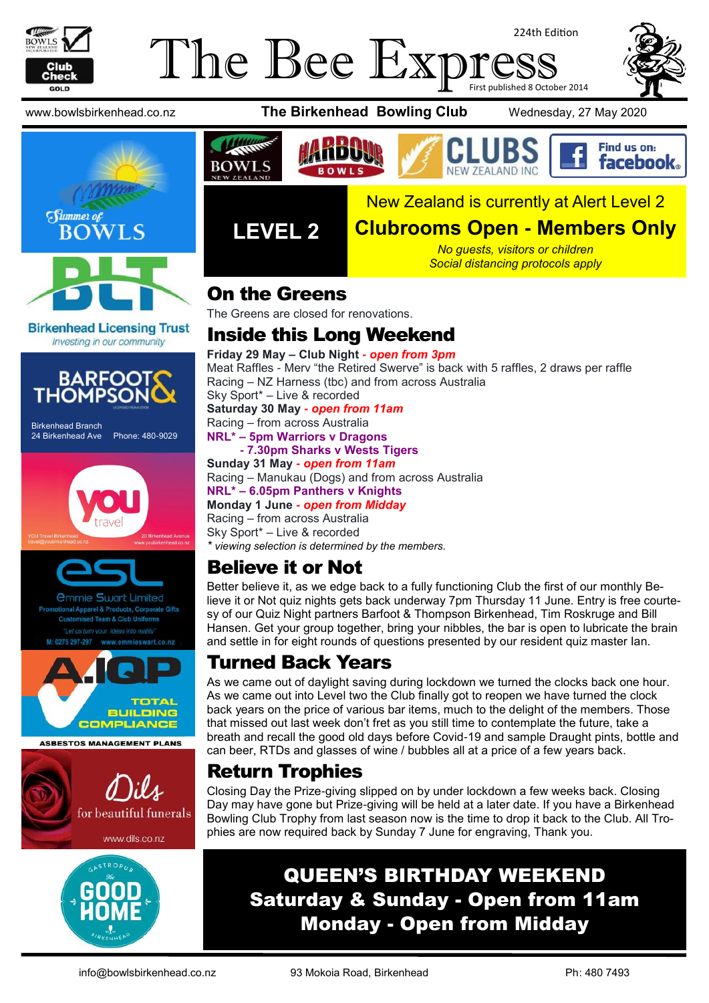

#### The Bee Exp 224th Edition First published 8 October 2014



**Birkenhead Licensing Trust** Investing in our community



Birkenhead Branch 24 Birkenhead Ave Phone: 480-9029





**Imie Swart Limited** el & Products, Corporate Gifts



**ASBESTOS MANAGEMENT PLANS** 









Find us on: **facebook** 





#### **Clubrooms Open - Members Only**

*No guests, visitors or children Social distancing protocols apply*

#### On the Greens

**LEVEL 2**

The Greens are closed for renovations.

#### Inside this Long Weekend

**Friday 29 May – Club Night** *- open from 3pm* Meat Raffles - Merv "the Retired Swerve" is back with 5 raffles, 2 draws per raffle Racing – NZ Harness (tbc) and from across Australia Sky Sport\* – Live & recorded **Saturday 30 May** *- open from 11am* Racing – from across Australia **NRL\* – 5pm Warriors v Dragons - 7.30pm Sharks v Wests Tigers Sunday 31 May** *- open from 11am*

Racing – Manukau (Dogs) and from across Australia **NRL\* – 6.05pm Panthers v Knights Monday 1 June** *- open from Midday* Racing – from across Australia Sky Sport\* – Live & recorded *\* viewing selection is determined by the members.*

#### Believe it or Not

Better believe it, as we edge back to a fully functioning Club the first of our monthly Believe it or Not quiz nights gets back underway 7pm Thursday 11 June. Entry is free courtesy of our Quiz Night partners Barfoot & Thompson Birkenhead, Tim Roskruge and Bill Hansen. Get your group together, bring your nibbles, the bar is open to lubricate the brain and settle in for eight rounds of questions presented by our resident quiz master Ian.

#### Turned Back Years

As we came out of daylight saving during lockdown we turned the clocks back one hour. As we came out into Level two the Club finally got to reopen we have turned the clock back years on the price of various bar items, much to the delight of the members. Those that missed out last week don't fret as you still time to contemplate the future, take a breath and recall the good old days before Covid-19 and sample Draught pints, bottle and can beer, RTDs and glasses of wine / bubbles all at a price of a few years back.

#### Return Trophies

Closing Day the Prize-giving slipped on by under lockdown a few weeks back. Closing Day may have gone but Prize-giving will be held at a later date. If you have a Birkenhead Bowling Club Trophy from last season now is the time to drop it back to the Club. All Trophies are now required back by Sunday 7 June for engraving, Thank you.

### QUEEN'S BIRTHDAY WEEKEND Saturday & Sunday - Open from 11am Monday - Open from Midday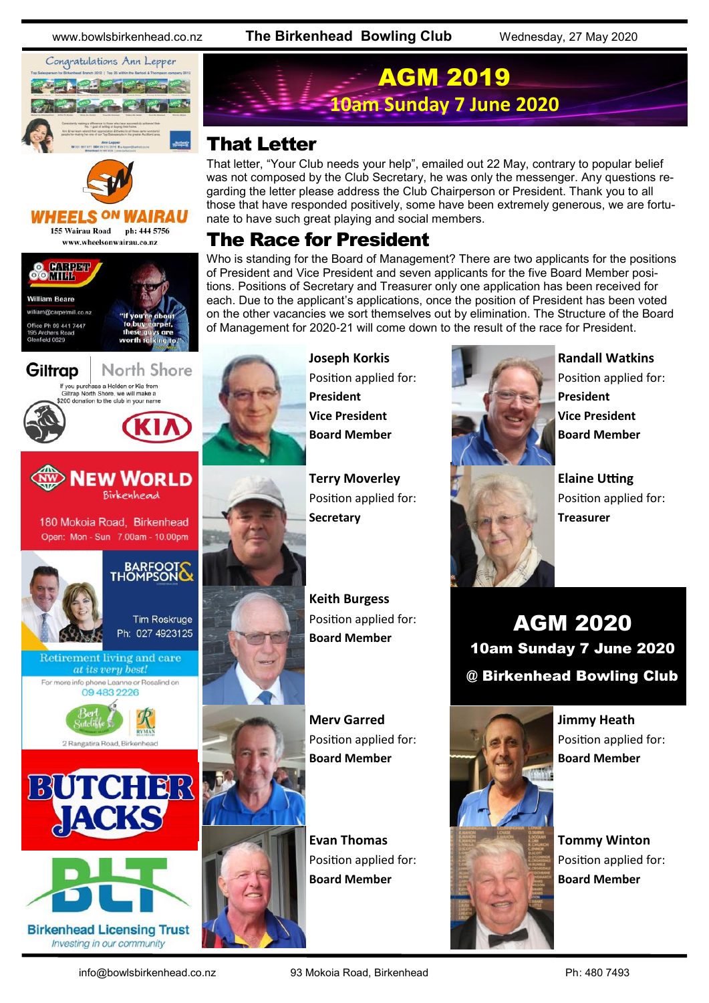www.bowlsbirkenhead.co.nz **The Birkenhead Bowling Club** Wednesday, 27 May 2020





#### **HEELS ON** 155 Wairau Road ph: 444 5756 www.wheelsonwairau.co.nz





That letter, "Your Club needs your help", emailed out 22 May, contrary to popular belief was not composed by the Club Secretary, he was only the messenger. Any questions regarding the letter please address the Club Chairperson or President. Thank you to all those that have responded positively, some have been extremely generous, we are fortunate to have such great playing and social members.

AGM 2019

#### The Race for President

Who is standing for the Board of Management? There are two applicants for the positions of President and Vice President and seven applicants for the five Board Member positions. Positions of Secretary and Treasurer only one application has been received for each. Due to the applicant's applications, once the position of President has been voted on the other vacancies we sort themselves out by elimination. The Structure of the Board of Management for 2020-21 will come down to the result of the race for President.



**Joseph Korkis** Position applied for: **President Vice President Board Member**

**Terry Moverley** Position applied for: **Secretary**

**Keith Burgess** Position applied for: **Board Member**

**Merv Garred** Position applied for: **Board Member**

**Evan Thomas** Position applied for: **Board Member**



**Randall Watkins** Position applied for: **President Vice President Board Member**

**Elaine Utting** Position applied for: **Treasurer**

AGM 2020 10am Sunday 7 June 2020 @ Birkenhead Bowling Club

> **Jimmy Heath** Position applied for: **Board Member**

**Tommy Winton** Position applied for: **Board Member**



**Birkenhead Licensing Trust** Investing in our community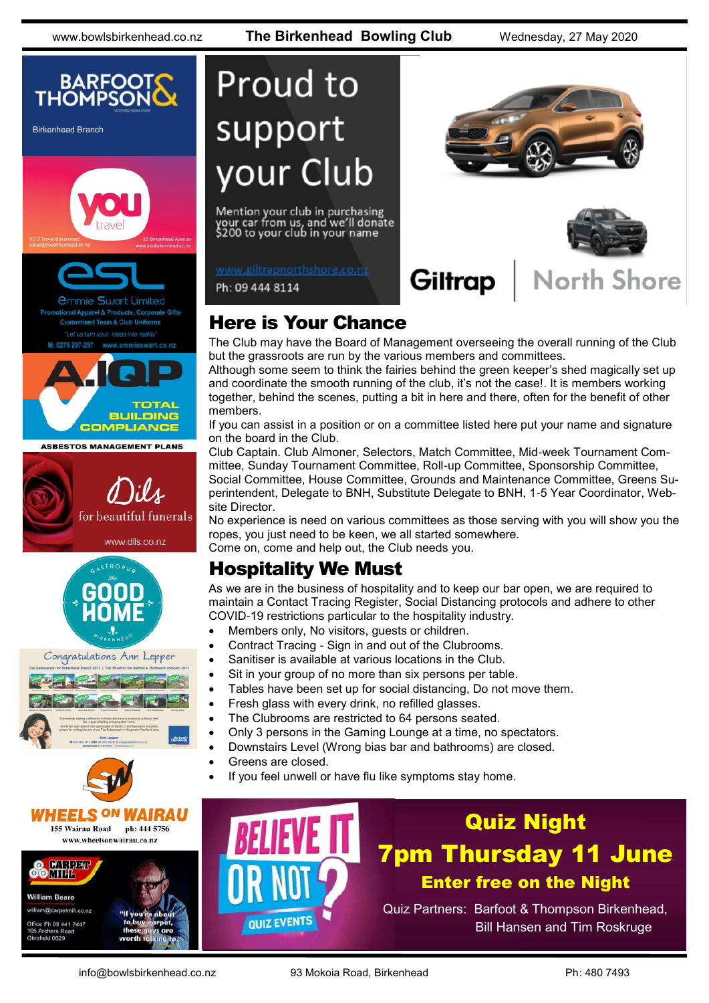www.bowlsbirkenhead.co.nz **The Birkenhead Bowling Club** Wednesday, 27 May 2020



Birkenhead Branch



I Apparel & Products, Corporate Gifts ed Team & Club Uniforms

ieswart.co.nz



**ASBESTOS MANAGEMENT PLANS** 









# **Proud to** support your Club

Mention your club in purchasing your car from us, and we'll donate<br>\$200 to your club in your name

www.giltrapnorthshore.co.nz

Ph: 09 444 8114



#### Here is Your Chance

The Club may have the Board of Management overseeing the overall running of the Club but the grassroots are run by the various members and committees.

Although some seem to think the fairies behind the green keeper's shed magically set up and coordinate the smooth running of the club, it's not the case!. It is members working together, behind the scenes, putting a bit in here and there, often for the benefit of other members.

If you can assist in a position or on a committee listed here put your name and signature on the board in the Club.

Club Captain. Club Almoner, Selectors, Match Committee, Mid-week Tournament Committee, Sunday Tournament Committee, Roll-up Committee, Sponsorship Committee, Social Committee, House Committee, Grounds and Maintenance Committee, Greens Superintendent, Delegate to BNH, Substitute Delegate to BNH, 1-5 Year Coordinator, Website Director.

No experience is need on various committees as those serving with you will show you the ropes, you just need to be keen, we all started somewhere. Come on, come and help out, the Club needs you.

#### Hospitality We Must

As we are in the business of hospitality and to keep our bar open, we are required to maintain a Contact Tracing Register, Social Distancing protocols and adhere to other COVID-19 restrictions particular to the hospitality industry.

- Members only, No visitors, guests or children.
- Contract Tracing Sign in and out of the Clubrooms.
- Sanitiser is available at various locations in the Club.
- Sit in your group of no more than six persons per table.
- Tables have been set up for social distancing, Do not move them.
- Fresh glass with every drink, no refilled glasses.
- The Clubrooms are restricted to 64 persons seated.
- Only 3 persons in the Gaming Lounge at a time, no spectators.
- Downstairs Level (Wrong bias bar and bathrooms) are closed.
- Greens are closed.
- If you feel unwell or have flu like symptoms stay home.



## Quiz Night 7pm Thursday 11 June Enter free on the Night

Quiz Partners: Barfoot & Thompson Birkenhead, Bill Hansen and Tim Roskruge